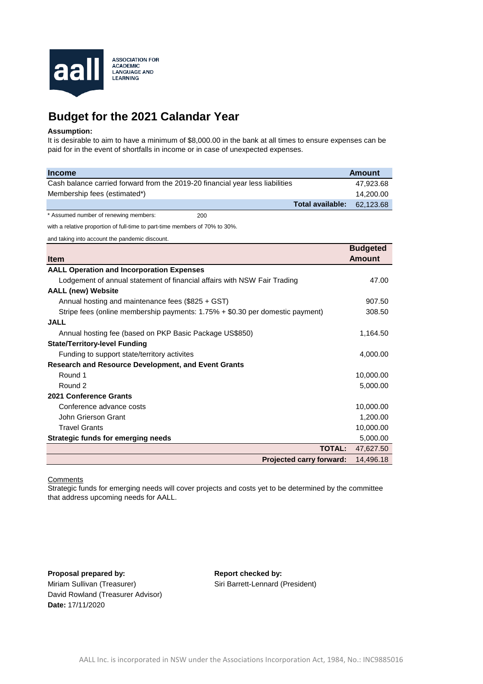

## **Budget for the 2021 Calandar Year**

## **Assumption:**

It is desirable to aim to have a minimum of \$8,000.00 in the bank at all times to ensure expenses can be paid for in the event of shortfalls in income or in case of unexpected expenses.

| <b>Income</b>                                                                 | <b>Amount</b>                    |
|-------------------------------------------------------------------------------|----------------------------------|
| Cash balance carried forward from the 2019-20 financial year less liabilities | 47,923.68                        |
| Membership fees (estimated*)                                                  | 14,200.00                        |
| <b>Total available:</b>                                                       | 62,123.68                        |
| * Assumed number of renewing members:<br>200                                  |                                  |
| with a relative proportion of full-time to part-time members of 70% to 30%.   |                                  |
| and taking into account the pandemic discount.                                |                                  |
| <b>Item</b>                                                                   | <b>Budgeted</b><br><b>Amount</b> |
| <b>AALL Operation and Incorporation Expenses</b>                              |                                  |
| Lodgement of annual statement of financial affairs with NSW Fair Trading      | 47.00                            |
| <b>AALL (new) Website</b>                                                     |                                  |
| Annual hosting and maintenance fees (\$825 + GST)                             | 907.50                           |
| Stripe fees (online membership payments: 1.75% + \$0.30 per domestic payment) | 308.50                           |
| <b>JALL</b>                                                                   |                                  |
| Annual hosting fee (based on PKP Basic Package US\$850)                       | 1,164.50                         |
| <b>State/Territory-level Funding</b>                                          |                                  |
| Funding to support state/territory activites                                  | 4,000.00                         |
| <b>Research and Resource Development, and Event Grants</b>                    |                                  |
| Round 1                                                                       | 10,000.00                        |
| Round 2                                                                       | 5,000.00                         |
| 2021 Conference Grants                                                        |                                  |
| Conference advance costs                                                      | 10,000.00                        |
| <b>John Grierson Grant</b>                                                    | 1,200.00                         |
| <b>Travel Grants</b>                                                          | 10,000.00                        |
| <b>Strategic funds for emerging needs</b>                                     | 5,000.00                         |
| <b>TOTAL:</b>                                                                 | 47,627.50                        |
| <b>Projected carry forward:</b>                                               | 14,496.18                        |

## **Comments**

Strategic funds for emerging needs will cover projects and costs yet to be determined by the committee that address upcoming needs for AALL.

**Proposal prepared by:** Miriam Sullivan (Treasurer) **Date:** 17/11/2020 David Rowland (Treasurer Advisor) **Report checked by:** Siri Barrett-Lennard (President)